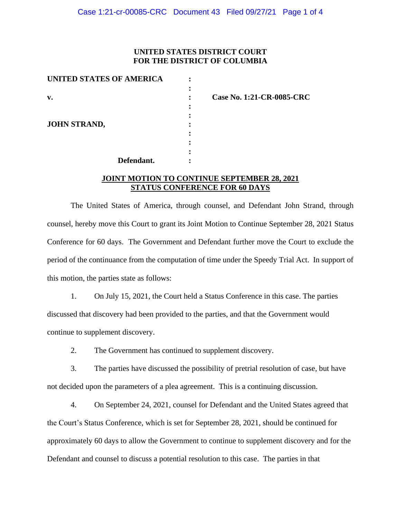## **UNITED STATES DISTRICT COURT FOR THE DISTRICT OF COLUMBIA**

| <b>UNITED STATES OF AMERICA</b> |  |
|---------------------------------|--|
|                                 |  |
| $\mathbf{v}$ .                  |  |
|                                 |  |
|                                 |  |
| <b>JOHN STRAND,</b>             |  |
|                                 |  |
|                                 |  |
|                                 |  |
| Defendant.                      |  |

**v. : Case No. 1:21-CR-0085-CRC**

### **JOINT MOTION TO CONTINUE SEPTEMBER 28, 2021 STATUS CONFERENCE FOR 60 DAYS**

The United States of America, through counsel, and Defendant John Strand, through counsel, hereby move this Court to grant its Joint Motion to Continue September 28, 2021 Status Conference for 60 days. The Government and Defendant further move the Court to exclude the period of the continuance from the computation of time under the Speedy Trial Act. In support of this motion, the parties state as follows:

1. On July 15, 2021, the Court held a Status Conference in this case. The parties discussed that discovery had been provided to the parties, and that the Government would continue to supplement discovery.

2. The Government has continued to supplement discovery.

3. The parties have discussed the possibility of pretrial resolution of case, but have not decided upon the parameters of a plea agreement. This is a continuing discussion.

4. On September 24, 2021, counsel for Defendant and the United States agreed that the Court's Status Conference, which is set for September 28, 2021, should be continued for approximately 60 days to allow the Government to continue to supplement discovery and for the Defendant and counsel to discuss a potential resolution to this case. The parties in that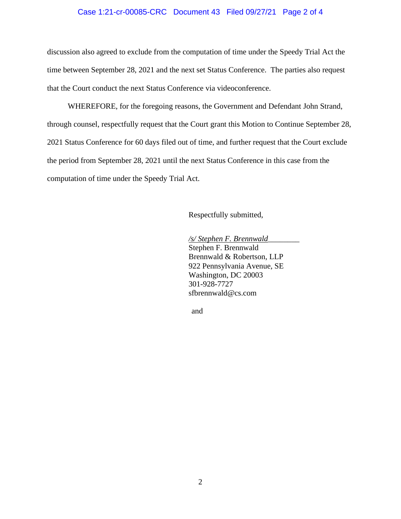#### Case 1:21-cr-00085-CRC Document 43 Filed 09/27/21 Page 2 of 4

discussion also agreed to exclude from the computation of time under the Speedy Trial Act the time between September 28, 2021 and the next set Status Conference. The parties also request that the Court conduct the next Status Conference via videoconference.

WHEREFORE, for the foregoing reasons, the Government and Defendant John Strand, through counsel, respectfully request that the Court grant this Motion to Continue September 28, 2021 Status Conference for 60 days filed out of time, and further request that the Court exclude the period from September 28, 2021 until the next Status Conference in this case from the computation of time under the Speedy Trial Act.

Respectfully submitted,

*/s/ Stephen F. Brennwald*\_\_\_\_\_\_\_\_ Stephen F. Brennwald Brennwald & Robertson, LLP 922 Pennsylvania Avenue, SE Washington, DC 20003 301-928-7727 sfbrennwald@cs.com

and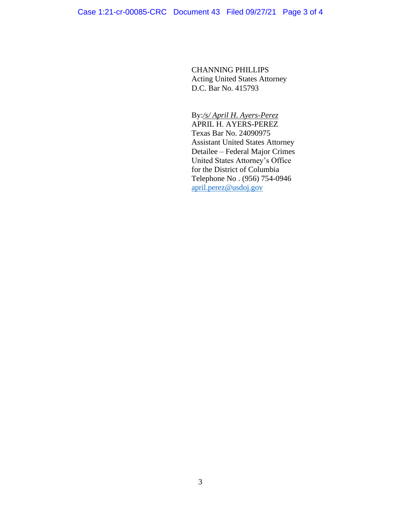CHANNING PHILLIPS Acting United States Attorney D.C. Bar No. 415793

By:*/s/ April H. Ayers-Perez*  APRIL H. AYERS-PEREZ Texas Bar No. 24090975 Assistant United States Attorney Detailee – Federal Major Crimes United States Attorney's Office for the District of Columbia Telephone No . (956) 754-0946 april.perez@usdoj.gov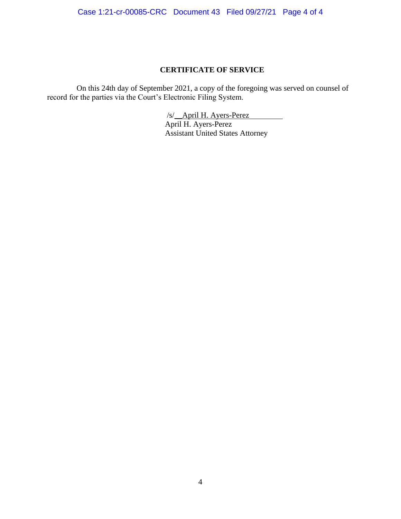Case 1:21-cr-00085-CRC Document 43 Filed 09/27/21 Page 4 of 4

# **CERTIFICATE OF SERVICE**

On this 24th day of September 2021, a copy of the foregoing was served on counsel of record for the parties via the Court's Electronic Filing System.

> /s/\_\_April H. Ayers-Perez April H. Ayers-Perez Assistant United States Attorney